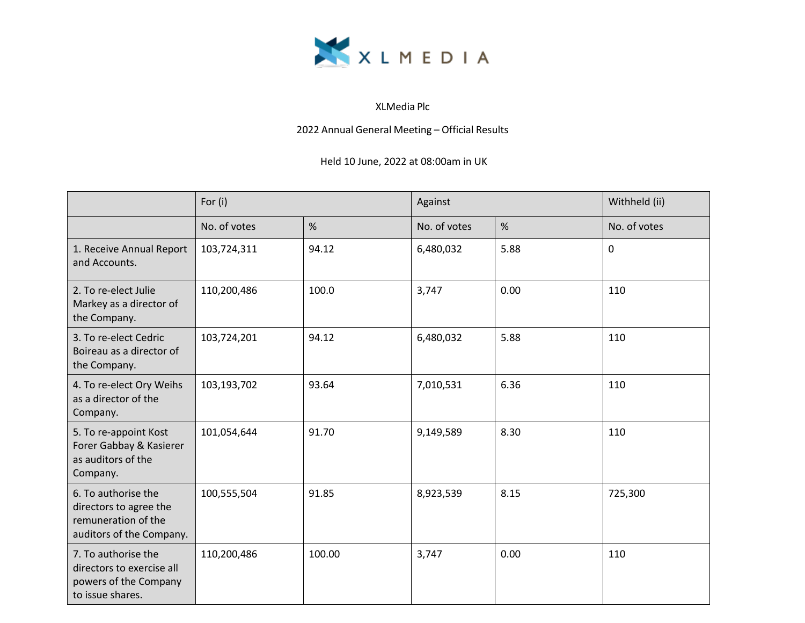

## XLMedia Plc

2022 Annual General Meeting – Official Results

## Held 10 June, 2022 at 08:00am in UK

|                                                                                                  | For (i)      |        | Against      |      | Withheld (ii) |
|--------------------------------------------------------------------------------------------------|--------------|--------|--------------|------|---------------|
|                                                                                                  | No. of votes | %      | No. of votes | %    | No. of votes  |
| 1. Receive Annual Report<br>and Accounts.                                                        | 103,724,311  | 94.12  | 6,480,032    | 5.88 | $\mathbf 0$   |
| 2. To re-elect Julie<br>Markey as a director of<br>the Company.                                  | 110,200,486  | 100.0  | 3,747        | 0.00 | 110           |
| 3. To re-elect Cedric<br>Boireau as a director of<br>the Company.                                | 103,724,201  | 94.12  | 6,480,032    | 5.88 | 110           |
| 4. To re-elect Ory Weihs<br>as a director of the<br>Company.                                     | 103,193,702  | 93.64  | 7,010,531    | 6.36 | 110           |
| 5. To re-appoint Kost<br>Forer Gabbay & Kasierer<br>as auditors of the<br>Company.               | 101,054,644  | 91.70  | 9,149,589    | 8.30 | 110           |
| 6. To authorise the<br>directors to agree the<br>remuneration of the<br>auditors of the Company. | 100,555,504  | 91.85  | 8,923,539    | 8.15 | 725,300       |
| 7. To authorise the<br>directors to exercise all<br>powers of the Company<br>to issue shares.    | 110,200,486  | 100.00 | 3,747        | 0.00 | 110           |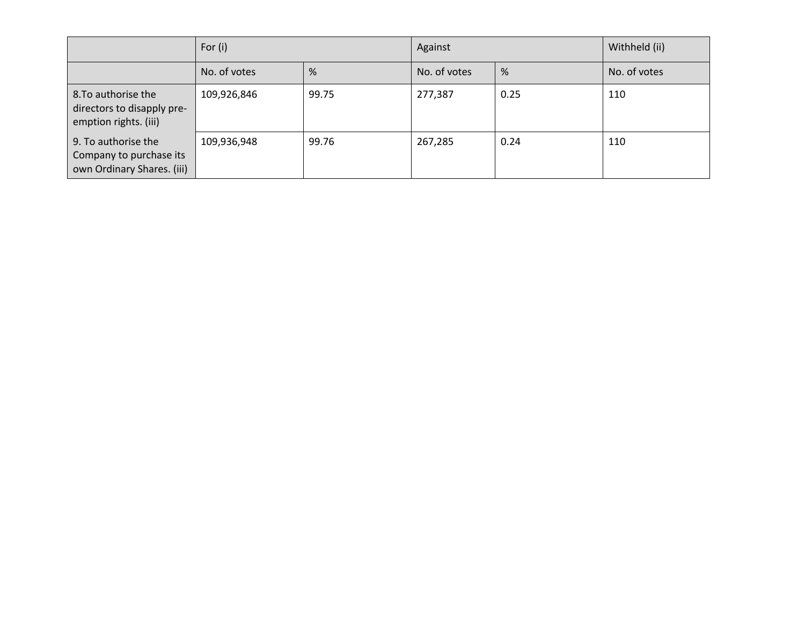|                                                                              | For $(i)$    |       | Against      |      | Withheld (ii) |
|------------------------------------------------------------------------------|--------------|-------|--------------|------|---------------|
|                                                                              | No. of votes | %     | No. of votes | %    | No. of votes  |
| 8. To authorise the<br>directors to disapply pre-<br>emption rights. (iii)   | 109,926,846  | 99.75 | 277,387      | 0.25 | 110           |
| 9. To authorise the<br>Company to purchase its<br>own Ordinary Shares. (iii) | 109,936,948  | 99.76 | 267,285      | 0.24 | 110           |